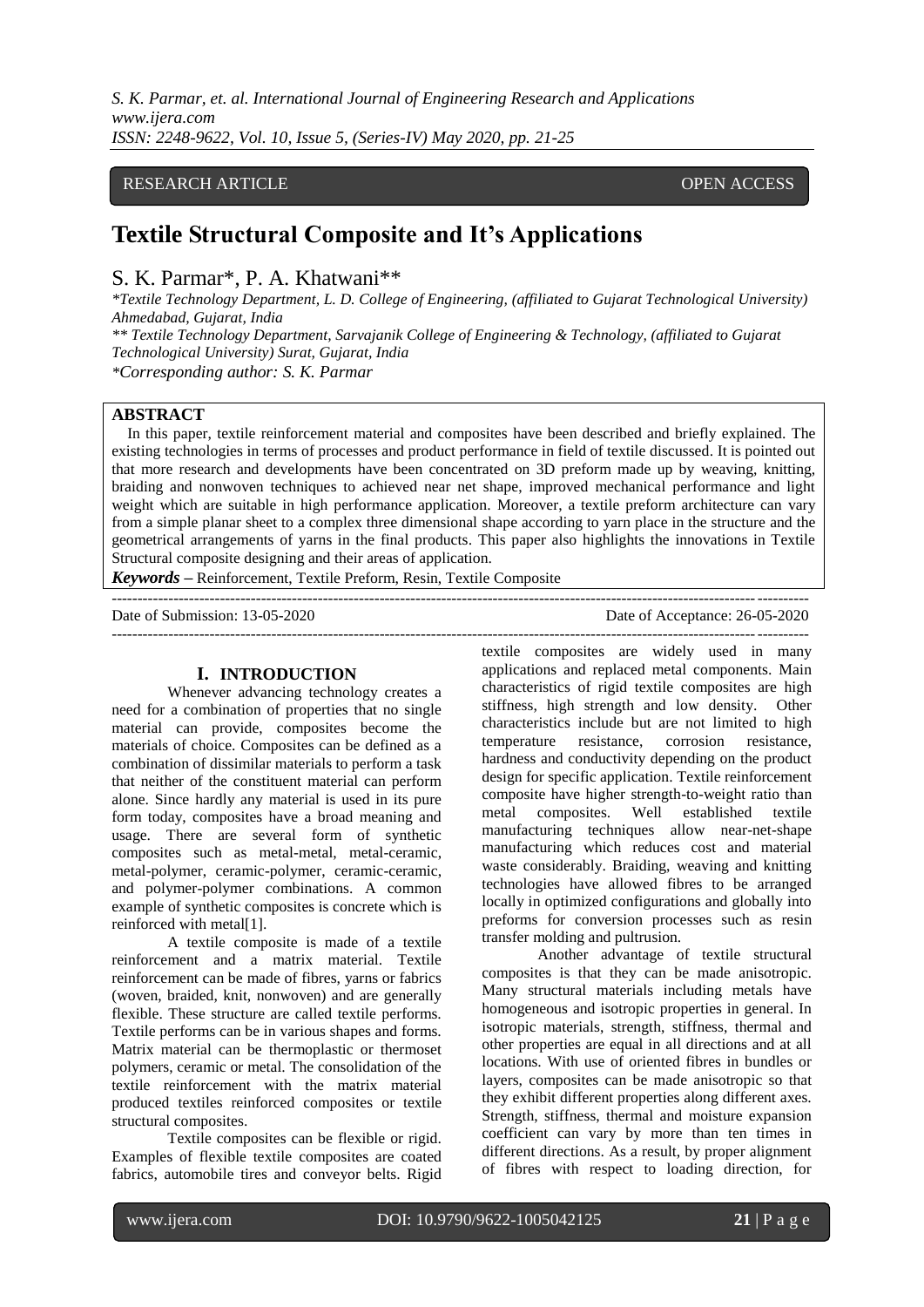*S. K. Parmar, et. al. International Journal of Engineering Research and Applications www.ijera.com ISSN: 2248-9622, Vol. 10, Issue 5, (Series-IV) May 2020, pp. 21-25*

## RESEARCH ARTICLE **CONSERVERS** OPEN ACCESS

# **Textile Structural Composite and It's Applications**

## S. K. Parmar\*, P. A. Khatwani\*\*

*\*Textile Technology Department, L. D. College of Engineering, (affiliated to Gujarat Technological University) Ahmedabad, Gujarat, India \*\* Textile Technology Department, Sarvajanik College of Engineering & Technology, (affiliated to Gujarat* 

*Technological University) Surat, Gujarat, India \*Corresponding author: S. K. Parmar*

**ABSTRACT**

In this paper, textile reinforcement material and composites have been described and briefly explained. The existing technologies in terms of processes and product performance in field of textile discussed. It is pointed out that more research and developments have been concentrated on 3D preform made up by weaving, knitting, braiding and nonwoven techniques to achieved near net shape, improved mechanical performance and light weight which are suitable in high performance application. Moreover, a textile preform architecture can vary from a simple planar sheet to a complex three dimensional shape according to yarn place in the structure and the geometrical arrangements of yarns in the final products. This paper also highlights the innovations in Textile Structural composite designing and their areas of application.

---------------------------------------------------------------------------------------------------------------------------------------

*Keywords* **–** Reinforcement, Textile Preform, Resin, Textile Composite

Date of Submission: 13-05-2020 Date of Acceptance: 26-05-2020

#### **I. INTRODUCTION**

Whenever advancing technology creates a need for a combination of properties that no single material can provide, composites become the materials of choice. Composites can be defined as a combination of dissimilar materials to perform a task that neither of the constituent material can perform alone. Since hardly any material is used in its pure form today, composites have a broad meaning and usage. There are several form of synthetic composites such as metal-metal, metal-ceramic, metal-polymer, ceramic-polymer, ceramic-ceramic, and polymer-polymer combinations. A common example of synthetic composites is concrete which is reinforced with metal[1].

A textile composite is made of a textile reinforcement and a matrix material. Textile reinforcement can be made of fibres, yarns or fabrics (woven, braided, knit, nonwoven) and are generally flexible. These structure are called textile performs. Textile performs can be in various shapes and forms. Matrix material can be thermoplastic or thermoset polymers, ceramic or metal. The consolidation of the textile reinforcement with the matrix material produced textiles reinforced composites or textile structural composites.

Textile composites can be flexible or rigid. Examples of flexible textile composites are coated fabrics, automobile tires and conveyor belts. Rigid

textile composites are widely used in many applications and replaced metal components. Main characteristics of rigid textile composites are high stiffness, high strength and low density. Other characteristics include but are not limited to high temperature resistance, corrosion resistance, hardness and conductivity depending on the product design for specific application. Textile reinforcement composite have higher strength-to-weight ratio than composites. Well established textile manufacturing techniques allow near-net-shape manufacturing which reduces cost and material waste considerably. Braiding, weaving and knitting technologies have allowed fibres to be arranged locally in optimized configurations and globally into preforms for conversion processes such as resin transfer molding and pultrusion.

---------------------------------------------------------------------------------------------------------------------------------------

Another advantage of textile structural composites is that they can be made anisotropic. Many structural materials including metals have homogeneous and isotropic properties in general. In isotropic materials, strength, stiffness, thermal and other properties are equal in all directions and at all locations. With use of oriented fibres in bundles or layers, composites can be made anisotropic so that they exhibit different properties along different axes. Strength, stiffness, thermal and moisture expansion coefficient can vary by more than ten times in different directions. As a result, by proper alignment of fibres with respect to loading direction, for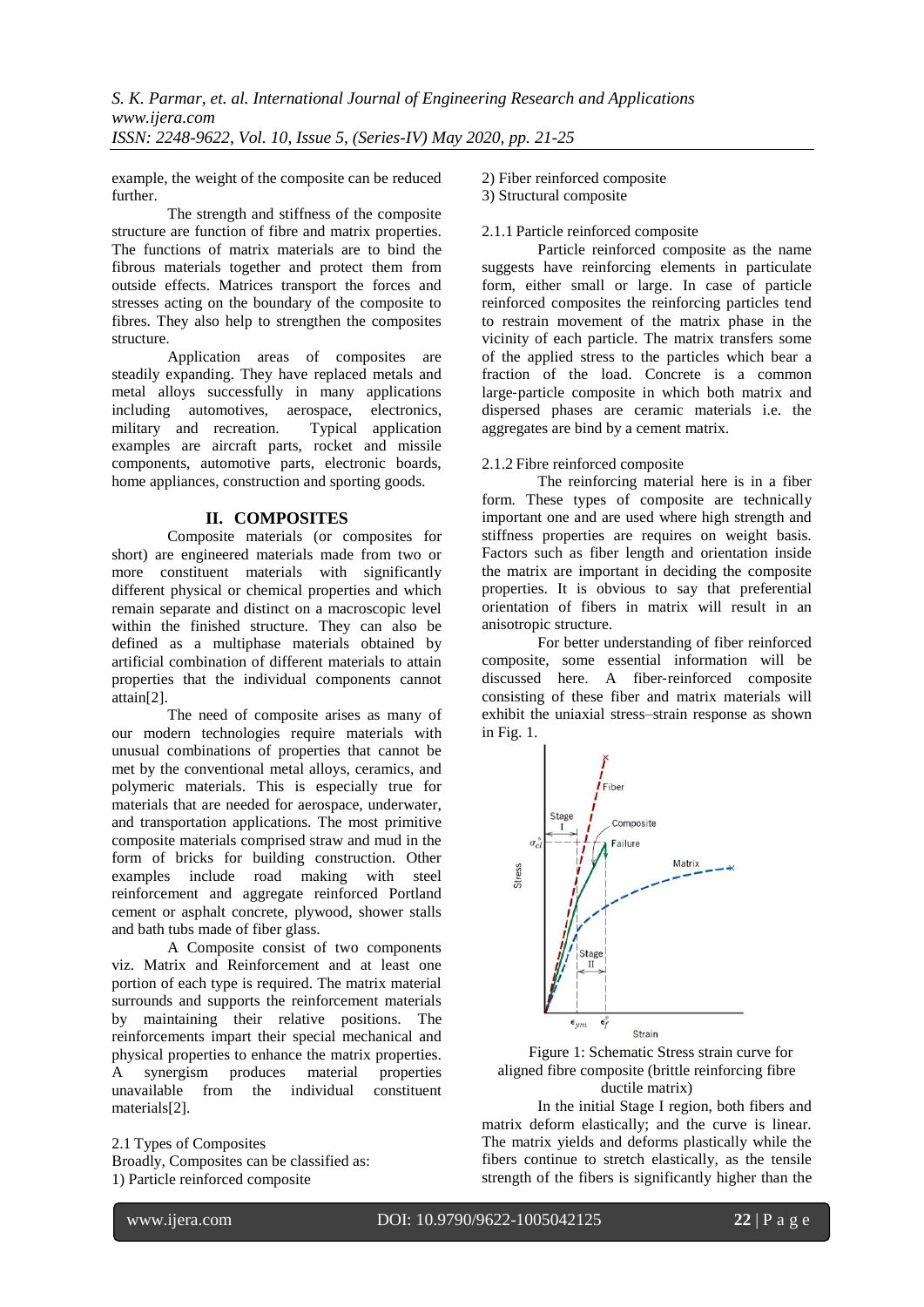example, the weight of the composite can be reduced further.

The strength and stiffness of the composite structure are function of fibre and matrix properties. The functions of matrix materials are to bind the fibrous materials together and protect them from outside effects. Matrices transport the forces and stresses acting on the boundary of the composite to fibres. They also help to strengthen the composites structure.

Application areas of composites are steadily expanding. They have replaced metals and metal alloys successfully in many applications including automotives, aerospace, electronics, military and recreation. Typical application examples are aircraft parts, rocket and missile components, automotive parts, electronic boards, home appliances, construction and sporting goods.

## **II. COMPOSITES**

Composite materials (or composites for short) are engineered materials made from two or more constituent materials with significantly different physical or chemical properties and which remain separate and distinct on a macroscopic level within the finished structure. They can also be defined as a multiphase materials obtained by artificial combination of different materials to attain properties that the individual components cannot attain[2].

The need of composite arises as many of our modern technologies require materials with unusual combinations of properties that cannot be met by the conventional metal alloys, ceramics, and polymeric materials. This is especially true for materials that are needed for aerospace, underwater, and transportation applications. The most primitive composite materials comprised straw and mud in the form of bricks for building construction. Other examples include road making with steel reinforcement and aggregate reinforced Portland cement or asphalt concrete, plywood, shower stalls and bath tubs made of fiber glass.

A Composite consist of two components viz. Matrix and Reinforcement and at least one portion of each type is required. The matrix material surrounds and supports the reinforcement materials by maintaining their relative positions. The reinforcements impart their special mechanical and physical properties to enhance the matrix properties. A synergism produces material properties unavailable from the individual constituent materials[2].

#### 2.1 Types of Composites Broadly, Composites can be classified as: 1) Particle reinforced composite

2) Fiber reinforced composite

3) Structural composite

#### 2.1.1 Particle reinforced composite

Particle reinforced composite as the name suggests have reinforcing elements in particulate form, either small or large. In case of particle reinforced composites the reinforcing particles tend to restrain movement of the matrix phase in the vicinity of each particle. The matrix transfers some of the applied stress to the particles which bear a fraction of the load. Concrete is a common large‐particle composite in which both matrix and dispersed phases are ceramic materials i.e. the aggregates are bind by a cement matrix.

#### 2.1.2 Fibre reinforced composite

The reinforcing material here is in a fiber form. These types of composite are technically important one and are used where high strength and stiffness properties are requires on weight basis. Factors such as fiber length and orientation inside the matrix are important in deciding the composite properties. It is obvious to say that preferential orientation of fibers in matrix will result in an anisotropic structure.

For better understanding of fiber reinforced composite, some essential information will be discussed here. A fiber‐reinforced composite consisting of these fiber and matrix materials will exhibit the uniaxial stress–strain response as shown in Fig. 1.





In the initial Stage I region, both fibers and matrix deform elastically; and the curve is linear. The matrix yields and deforms plastically while the fibers continue to stretch elastically, as the tensile strength of the fibers is significantly higher than the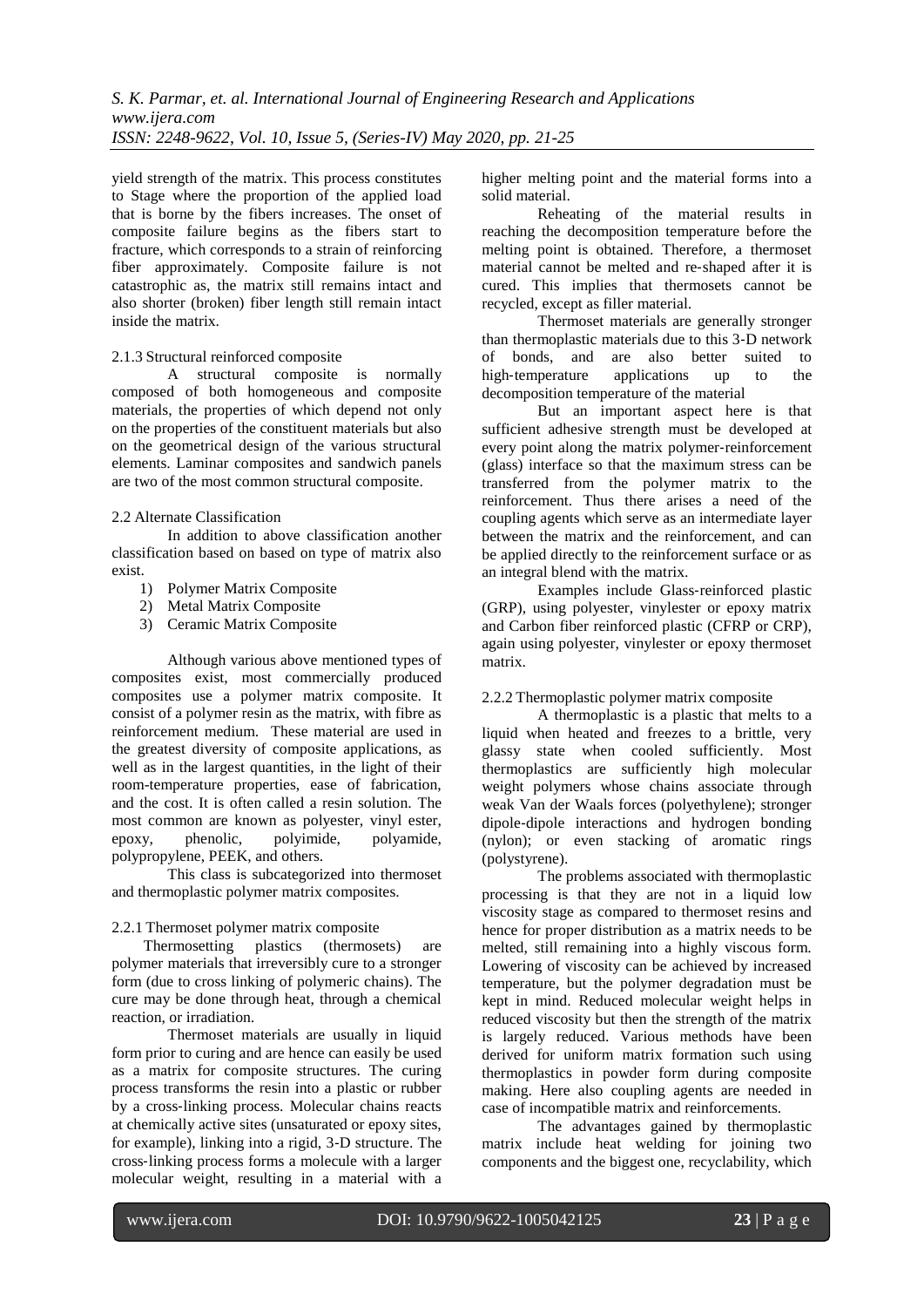yield strength of the matrix. This process constitutes to Stage where the proportion of the applied load that is borne by the fibers increases. The onset of composite failure begins as the fibers start to fracture, which corresponds to a strain of reinforcing fiber approximately. Composite failure is not catastrophic as, the matrix still remains intact and also shorter (broken) fiber length still remain intact inside the matrix.

#### 2.1.3 Structural reinforced composite

A structural composite is normally composed of both homogeneous and composite materials, the properties of which depend not only on the properties of the constituent materials but also on the geometrical design of the various structural elements. Laminar composites and sandwich panels are two of the most common structural composite.

#### 2.2 Alternate Classification

In addition to above classification another classification based on based on type of matrix also exist.

- 1) Polymer Matrix Composite
- 2) Metal Matrix Composite
- 3) Ceramic Matrix Composite

Although various above mentioned types of composites exist, most commercially produced composites use a polymer matrix composite. It consist of a polymer resin as the matrix, with fibre as reinforcement medium. These material are used in the greatest diversity of composite applications, as well as in the largest quantities, in the light of their room-temperature properties, ease of fabrication, and the cost. It is often called a resin solution. The most common are known as polyester, vinyl ester,<br>epoxy, phenolic, polyimide, polyamide, epoxy, phenolic, polyimide, polyamide, polypropylene, PEEK, and others.

This class is subcategorized into thermoset and thermoplastic polymer matrix composites.

#### 2.2.1 Thermoset polymer matrix composite

Thermosetting plastics (thermosets) are polymer materials that irreversibly cure to a stronger form (due to cross linking of polymeric chains). The cure may be done through heat, through a chemical reaction, or irradiation.

Thermoset materials are usually in liquid form prior to curing and are hence can easily be used as a matrix for composite structures. The curing process transforms the resin into a plastic or rubber by a cross‐linking process. Molecular chains reacts at chemically active sites (unsaturated or epoxy sites, for example), linking into a rigid, 3‐D structure. The cross‐linking process forms a molecule with a larger molecular weight, resulting in a material with a

higher melting point and the material forms into a solid material.

Reheating of the material results in reaching the decomposition temperature before the melting point is obtained. Therefore, a thermoset material cannot be melted and re‐shaped after it is cured. This implies that thermosets cannot be recycled, except as filler material.

Thermoset materials are generally stronger than thermoplastic materials due to this 3‐D network of bonds, and are also better suited to high-temperature applications up to the decomposition temperature of the material

But an important aspect here is that sufficient adhesive strength must be developed at every point along the matrix polymer‐reinforcement (glass) interface so that the maximum stress can be transferred from the polymer matrix to the reinforcement. Thus there arises a need of the coupling agents which serve as an intermediate layer between the matrix and the reinforcement, and can be applied directly to the reinforcement surface or as an integral blend with the matrix.

Examples include Glass‐reinforced plastic (GRP), using polyester, vinylester or epoxy matrix and Carbon fiber reinforced plastic (CFRP or CRP), again using polyester, vinylester or epoxy thermoset matrix.

#### 2.2.2 Thermoplastic polymer matrix composite

A thermoplastic is a plastic that melts to a liquid when heated and freezes to a brittle, very glassy state when cooled sufficiently. Most thermoplastics are sufficiently high molecular weight polymers whose chains associate through weak Van der Waals forces (polyethylene); stronger dipole‐dipole interactions and hydrogen bonding (nylon); or even stacking of aromatic rings (polystyrene).

The problems associated with thermoplastic processing is that they are not in a liquid low viscosity stage as compared to thermoset resins and hence for proper distribution as a matrix needs to be melted, still remaining into a highly viscous form. Lowering of viscosity can be achieved by increased temperature, but the polymer degradation must be kept in mind. Reduced molecular weight helps in reduced viscosity but then the strength of the matrix is largely reduced. Various methods have been derived for uniform matrix formation such using thermoplastics in powder form during composite making. Here also coupling agents are needed in case of incompatible matrix and reinforcements.

The advantages gained by thermoplastic matrix include heat welding for joining two components and the biggest one, recyclability, which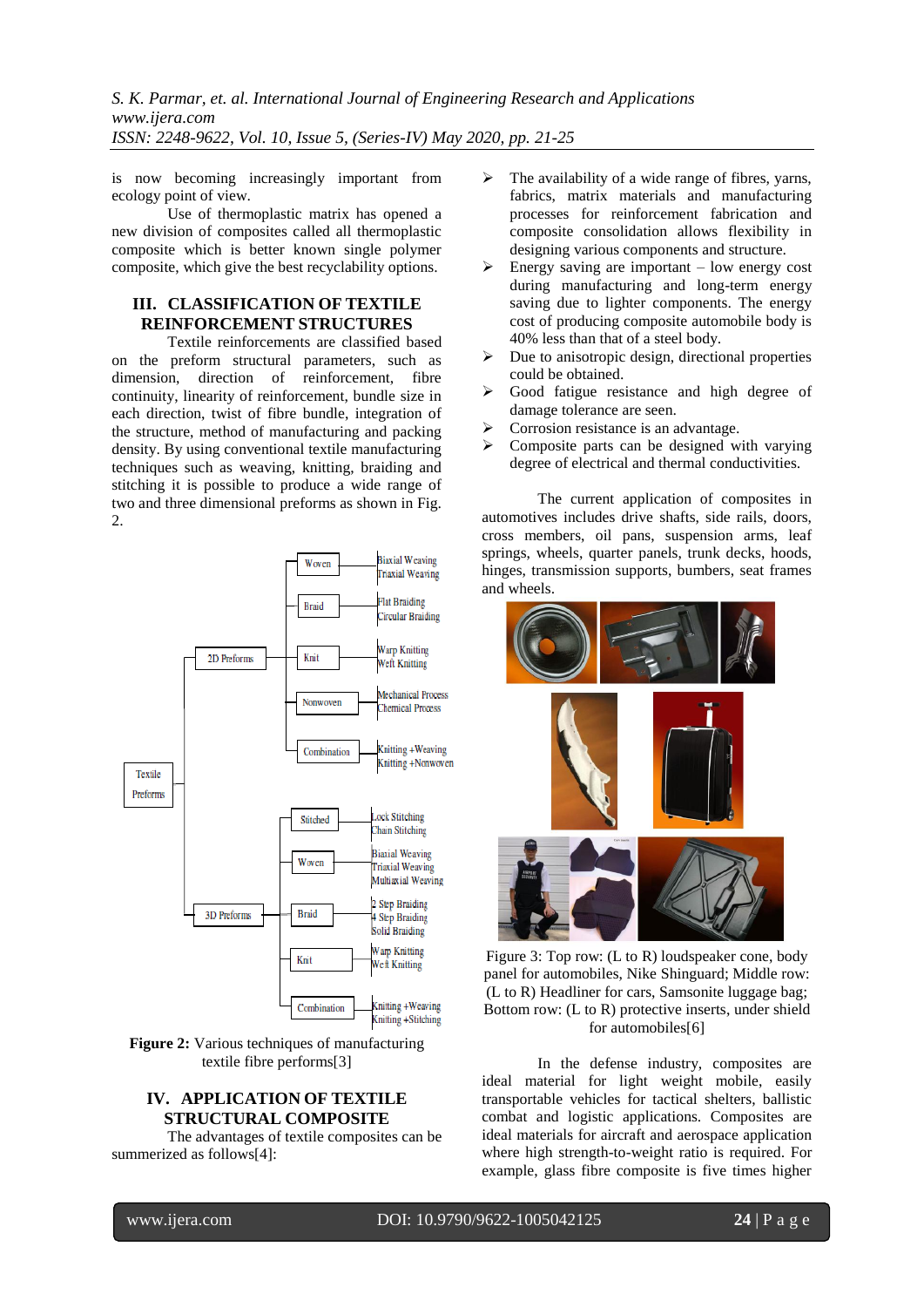*S. K. Parmar, et. al. International Journal of Engineering Research and Applications www.ijera.com ISSN: 2248-9622, Vol. 10, Issue 5, (Series-IV) May 2020, pp. 21-25*

is now becoming increasingly important from ecology point of view.

Use of thermoplastic matrix has opened a new division of composites called all thermoplastic composite which is better known single polymer composite, which give the best recyclability options.

## **III. CLASSIFICATION OF TEXTILE REINFORCEMENT STRUCTURES**

Textile reinforcements are classified based on the preform structural parameters, such as dimension, direction of reinforcement, fibre continuity, linearity of reinforcement, bundle size in each direction, twist of fibre bundle, integration of the structure, method of manufacturing and packing density. By using conventional textile manufacturing techniques such as weaving, knitting, braiding and stitching it is possible to produce a wide range of two and three dimensional preforms as shown in Fig. 2.



**Figure 2:** Various techniques of manufacturing textile fibre performs[3]

## **IV. APPLICATION OF TEXTILE STRUCTURAL COMPOSITE**

The advantages of textile composites can be summerized as follows[4]:

- $\triangleright$  The availability of a wide range of fibres, yarns, fabrics, matrix materials and manufacturing processes for reinforcement fabrication and composite consolidation allows flexibility in designing various components and structure.
- $\triangleright$  Energy saving are important low energy cost during manufacturing and long-term energy saving due to lighter components. The energy cost of producing composite automobile body is 40% less than that of a steel body.
- $\triangleright$  Due to anisotropic design, directional properties could be obtained.
- Good fatigue resistance and high degree of damage tolerance are seen.
- Corrosion resistance is an advantage.
- $\triangleright$  Composite parts can be designed with varying degree of electrical and thermal conductivities.

The current application of composites in automotives includes drive shafts, side rails, doors, cross members, oil pans, suspension arms, leaf springs, wheels, quarter panels, trunk decks, hoods, hinges, transmission supports, bumbers, seat frames and wheels.



Figure 3: Top row: (L to R) loudspeaker cone, body panel for automobiles, Nike Shinguard; Middle row: (L to R) Headliner for cars, Samsonite luggage bag; Bottom row: (L to R) protective inserts, under shield for automobiles[6]

In the defense industry, composites are ideal material for light weight mobile, easily transportable vehicles for tactical shelters, ballistic combat and logistic applications. Composites are ideal materials for aircraft and aerospace application where high strength-to-weight ratio is required. For example, glass fibre composite is five times higher